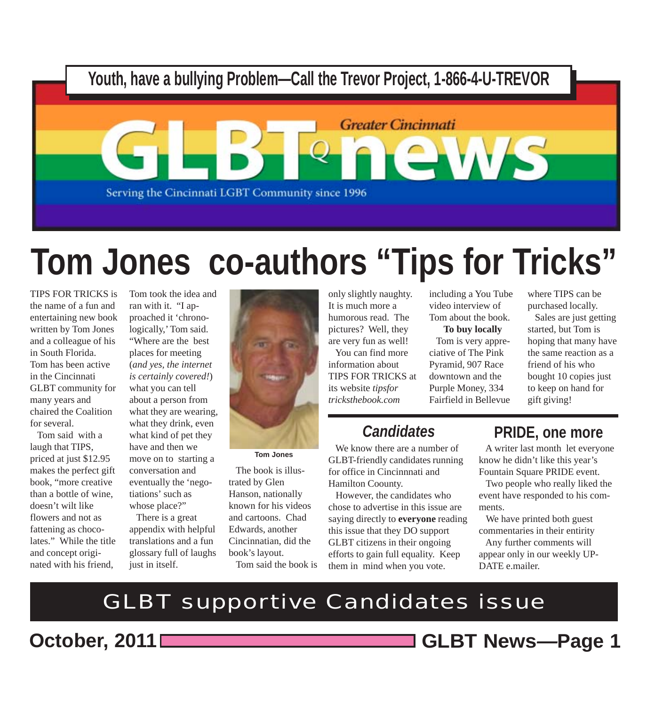

# **Tom Jones co-authors "Tips for Tricks"**

TIPS FOR TRICKS is the name of a fun and entertaining new book written by Tom Jones and a colleague of his in South Florida. Tom has been active in the Cincinnati GLBT community for many years and chaired the Coalition for several.

 Tom said with a laugh that TIPS, priced at just \$12.95 makes the perfect gift book, "more creative than a bottle of wine, doesn't wilt like flowers and not as fattening as chocolates." While the title and concept originated with his friend,

Tom took the idea and ran with it. "I approached it 'chronologically,' Tom said. "Where are the best places for meeting (*and yes, the internet is certainly covered!*) what you can tell about a person from what they are wearing, what they drink, even what kind of pet they have and then we move on to starting a conversation and eventually the 'negotiations' such as whose place?"

 There is a great appendix with helpful translations and a fun glossary full of laughs just in itself.



**Tom Jones**

 The book is illustrated by Glen Hanson, nationally known for his videos and cartoons. Chad Edwards, another Cincinnatian, did the book's layout. Tom said the book is

only slightly naughty. It is much more a humorous read. The pictures? Well, they are very fun as well!

 You can find more information about TIPS FOR TRICKS at its website *tipsfortricksthebook.com*

### *Candidates*

 We know there are a number of GLBT-friendly candidates running for office in Cincinnnati and Hamilton Coounty.

 However, the candidates who chose to advertise in this issue are saying directly to **everyone** reading this issue that they DO support GLBT citizens in their ongoing efforts to gain full equality. Keep them in mind when you vote.

including a You Tube video interview of Tom about the book.

### **To buy locally**

 Tom is very appreciative of The Pink Pyramid, 907 Race downtown and the Purple Money, 334 Fairfield in Bellevue

where TIPS can be purchased locally.

 Sales are just getting started, but Tom is hoping that many have the same reaction as a friend of his who bought 10 copies just to keep on hand for gift giving!

### **PRIDE, one more**

 A writer last month let everyone know he didn't like this year's Fountain Square PRIDE event.

 Two people who really liked the event have responded to his comments.

 We have printed both guest commentaries in their entirity Any further comments will appear only in our weekly UP-DATE e.mailer.

GLBT supportive Candidates issue

**October, 2011 GLBT News***—***Page 1**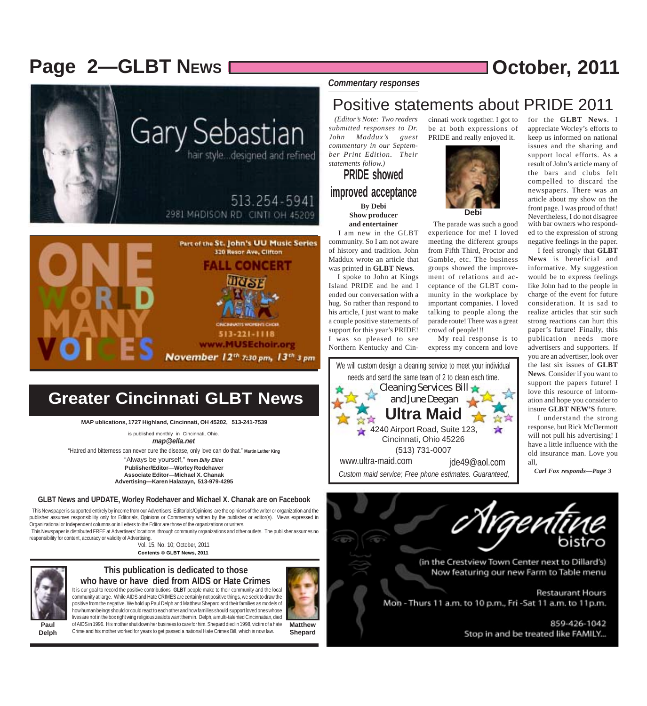### **Page 2-GLBT NEWS DENSITY REGISTER 10 2011**

for the **GLBT News**. I appreciate Worley's efforts to keep us informed on national issues and the sharing and support local efforts. As a result of John's article many of the bars and clubs felt compelled to discard the newspapers. There was an article about my show on the front page. I was proud of that!

with bar owners who responded to the expression of strong negative feelings in the paper. I feel strongly that **GLBT News** is beneficial and informative. My suggestion



**Greater Cincinnati GLBT News**

 $513 - 221 - 1118$ www.MUSEchoir.org November 12th 7:30 pm, 13th 3 pm

**MAP ublications, 1727 Highland, Cincinnati, OH 45202, 513-241-7539**

is published monthly in Cincinnati, Ohio. *map@ella.net*

"Hatred and bitterness can never cure the disease, only love can do that." **Martin Luther King**

"Always be yourself," **from** *Billy Elliot* **Publisher/Editor—Worley Rodehaver Associate Editor—Michael X. Chanak Advertising—Karen Halazayn, 513-979-4295**

#### **GLBT News and UPDATE, Worley Rodehaver and Michael X. Chanak are on Facebook**

 This Newspaper is supported entirely by income from our Advertisers. Editorials/Opinions are the opinions of the writer or organization and the publisher assumes responsibility only for Editorials, Opinions or Commentary written by the publisher or editor(s). Views expressed in Organizational or Independent columns or in Letters to the Editor are those of the organizations or writers. This Newspaper is distributed FREE at Advertisers' locations, through community organizations and other outlets. The publisher assumes no

responsibility for content, accuracy or validity of Advertising.

Vol. 15, No. 10; October, 2011 **Contents © GLBT News, 2011**



#### **This publication is dedicated to those who have or have died from AIDS or Hate Crimes**

It is our goal to record the positive contributions **GLBT** people make to their community and the local community at large. While AIDS and Hate CRIMES are certainly not positive things, we seek to draw the positive from the negative. We hold up Paul Delph and Matthew Shepard and their families as models of how human beings should or could react to each other and how families should support loved ones whose lives are not in the box right wing religious zealots want them in. Delph, a multi-talented Cincinnatian, died

**Paul Delph**

**Matthew Shepard** of AIDS in 1996. His mother shut down her business to care for him. Shepard died in 1998, victim of a hate Crime and his mother worked for years to get passed a national Hate Crimes Bill, which is now law.

*Commentary responses*

### Positive statements about PRIDE 2011

 *(Editor's Note: Two readers submitted responses to Dr. John Maddux's guest commentary in our September Print Edition. Their statements follow.)*

**PRIDE showed improved acceptance By Debi Show producer and entertainer**

 I am new in the GLBT community. So I am not aware of history and tradition. John Maddux wrote an article that was printed in **GLBT News**. I spoke to John at Kings

Island PRIDE and he and I ended our conversation with a hug. So rather than respond to his article, I just want to make a couple positive statements of support for this year's PRIDE! I was so pleased to see Northern Kentucky and Cin-



cinnati work together. I got to be at both expressions of PRIDE and really enjoyed it.



 The parade was such a good experience for me! I loved meeting the different groups from Fifth Third, Proctor and Gamble, etc. The business groups showed the improvement of relations and acceptance of the GLBT community in the workplace by important companies. I loved talking to people along the parade route! There was a great crowd of people!!!

 My real response is to express my concern and love



insure **GLBT NEW'S** future. I understand the strong response, but Rick McDermott will not pull his advertising! I have a little influence with the old insurance man. Love you all,

*Carl Fox responds—Page 3*



Stop in and be treated like FAMILY...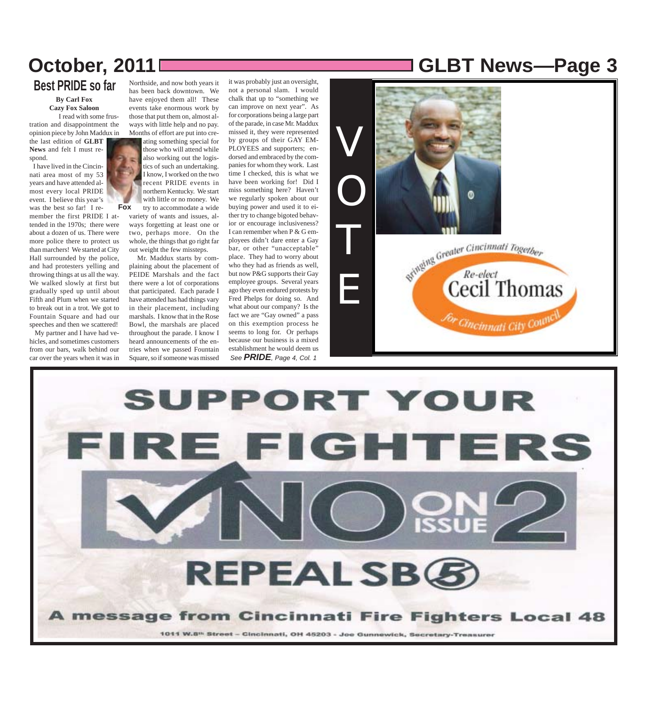**By Carl Fox Best PRIDE so far**

> **Cazy Fox Saloon** I read with some frus-

tration and disappointment the opinion piece by John Maddux in the last edition of **GLBT News** and felt I must re-

spond. I have lived in the Cincinnati area most of my 53 years and have attended almost every local PRIDE event. I believe this year's was the best so far! I re-

member the first PRIDE I attended in the 1970s; there were about a dozen of us. There were more police there to protect us than marchers! We started at City Hall surrounded by the police, and had protesters yelling and throwing things at us all the way. We walked slowly at first but gradually sped up until about Fifth and Plum when we started to break out in a trot. We got to Fountain Square and had our speeches and then we scattered!

 My partner and I have had vehicles, and sometimes customers from our bars, walk behind our car over the years when it was in

Northside, and now both years it has been back downtown. We have enjoyed them all! These events take enormous work by those that put them on, almost always with little help and no pay. Months of effort are put into cre-

ating something special for those who will attend while also working out the logistics of such an undertaking. I know, I worked on the two recent PRIDE events in northern Kentucky. We start with little or no money. We try to accommodate a wide

variety of wants and issues, always forgetting at least one or two, perhaps more. On the whole, the things that go right far out weight the few missteps.

**Fox**

 Mr. Maddux starts by complaining about the placement of PEIDE Marshals and the fact there were a lot of corporations that participated. Each parade I have attended has had things vary in their placement, including marshals. I know that in the Rose Bowl, the marshals are placed throughout the parade. I know I heard announcements of the entries when we passed Fountain Square, so if someone was missed

it was probably just an oversight, not a personal slam. I would chalk that up to "something we can improve on next year". As for corporations being a large part of the parade, in case Mr. Maddux missed it, they were represented by groups of their GAY EM-PLOYEES and supporters; endorsed and embraced by the companies for whom they work. Last time I checked, this is what we have been working for! Did I miss something here? Haven't we regularly spoken about our buying power and used it to either try to change bigoted behavior or encourage inclusiveness? I can remember when P & G employees didn't dare enter a Gay bar, or other "unacceptable" place. They had to worry about who they had as friends as well, but now P&G supports their Gay employee groups. Several years ago they even endured protests by Fred Phelps for doing so. And what about our company? Is the fact we are "Gay owned" a pass on this exemption process he seems to long for. Or perhaps because our business is a mixed establishment he would deem us *See PRIDE, Page 4, Col. 1*

### **October, 2011 GLBT News***—***Page 3**



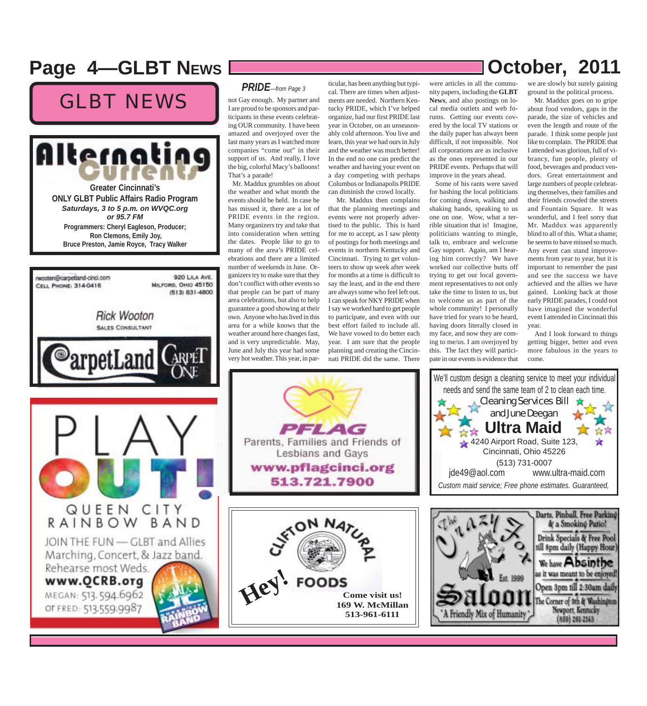### **Page 4––GLBT NEWS DECOMBER 100 DECOMBER 10011**

### GLBT NEWS





#### *PRIDE—from Page 3*

not Gay enough. My partner and I are proud to be sponsors and participants in these events celebrating OUR community. I have been amazed and overjoyed over the last many years as I watched more companies "come out" in their support of us. And really, I love the big, colorful Macy's balloons! That's a parade! Mr. Maddux grumbles on about

the weather and what month the events should be held. In case he has missed it, there are a lot of PRIDE events in the region. Many organizers try and take that into consideration when setting the dates. People like to go to many of the area's PRIDE celebrations and there are a limited number of weekends in June. Organizers try to make sure that they don't conflict with other events so that people can be part of many area celebrations, but also to help guarantee a good showing at their own. Anyone who has lived in this area for a while knows that the weather around here changes fast, and is very unpredictable. May, June and July this year had some very hot weather. This year, in par-

**Hey!**

ticular, has been anything but typical. There are times when adjustments are needed. Northern Kentucky PRIDE, which I've helped organize, had our first PRIDE last year in October, on an unseasonably cold afternoon. You live and learn, this year we had ours in July and the weather was much better! In the end no one can predict the weather and having your event on a day competing with perhaps Columbus or Indianapolis PRIDE can diminish the crowd locally.

 Mr. Maddux then complains that the planning meetings and events were not properly advertised to the public. This is hard for me to accept, as I saw plenty of postings for both meetings and events in northern Kentucky and Cincinnati. Trying to get volunteers to show up week after week for months at a time is difficult to say the least, and in the end there are always some who feel left out. I can speak for NKY PRIDE when I say we worked hard to get people to participate, and even with our best effort failed to include all. We have vowed to do better each year. I am sure that the people planning and creating the Cincinnati PRIDE did the same. There

were articles in all the community papers, including the **GLBT News**, and also postings on local media outlets and web forums. Getting our events covered by the local TV stations or the daily paper has always been difficult, if not impossible. Not all corporations are as inclusive as the ones represented in our PRIDE events. Perhaps that will improve in the years ahead.

 Some of his rants were saved for bashing the local politicians for coming down, walking and shaking hands, speaking to us one on one. Wow, what a terrible situation that is! Imagine, politicians wanting to mingle, talk to, embrace and welcome Gay support. Again, am I hearing him correctly? We have worked our collective butts off trying to get our local government representatives to not only take the time to listen to us, but to welcome us as part of the whole community! I personally have tried for years to be heard, having doors literally closed in my face, and now they are coming to me/us. I am overjoyed by this. The fact they will participate in our events is evidence that

we are slowly but surely gaining ground in the political process.

 Mr. Maddux goes on to gripe about food vendors, gaps in the parade, the size of vehicles and even the length and route of the parade. I think some people just like to complain. The PRIDE that I attended was glorious, full of vibrancy, fun people, plenty of food, beverages and product vendors. Great entertainment and large numbers of people celebrating themselves, their families and their friends crowded the streets and Fountain Square. It was wonderful, and I feel sorry that Mr. Maddux was apparently blind to all of this. What a shame; he seems to have missed so much. Any event can stand improvements from year to year, but it is important to remember the past and see the success we have achieved and the allies we have gained. Looking back at those early PRIDE parades, I could not have imagined the wonderful event I attended in Cincinnati this year.

 And I look forward to things getting bigger, better and even more fabulous in the years to come.



**FOODS** 



| Darts, Pinball, Free Parking<br>& a Smoking Patio!<br>Drink Specials & Free Pool<br>till 8pm daily (Happy Hour)<br>We have Absinthe<br>as it was meant to be enjoyed!<br>Est. 1999<br>Open 3pm till 2:30am daily<br>atoon<br>The Corner of 9th & Washington<br>riendly Mix of Humanity |                   |
|----------------------------------------------------------------------------------------------------------------------------------------------------------------------------------------------------------------------------------------------------------------------------------------|-------------------|
| $(859)$ 261-2143                                                                                                                                                                                                                                                                       | Newport, Kentucky |
|                                                                                                                                                                                                                                                                                        |                   |

Cleaning Services Bill and June Deegan

**A**<del>x</del><sup>★</sup> Ultra Maid 4240 Airport Road, Suite 123, Cincinnati, Ohio 45226 (513) 731-0007 jde49@aol.com www.ultra-maid.com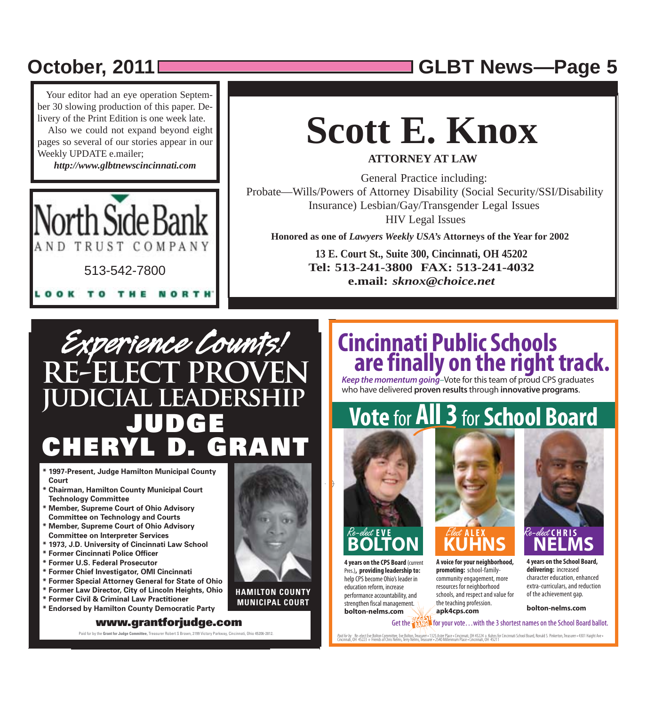## **October, 2011 GLBT News***—***Page 5**

 Your editor had an eye operation September 30 slowing production of this paper. Delivery of the Print Edition is one week late.

 Also we could not expand beyond eight pages so several of our stories appear in our Weekly UPDATE e.mailer;

*http://www.glbtnewscincinnati.com*



# **Scott E. Knox**

**ATTORNEY AT LAW**

General Practice including: Probate—Wills/Powers of Attorney Disability (Social Security/SSI/Disability Insurance) Lesbian/Gay/Transgender Legal Issues HIV Legal Issues

**Honored as one of** *Lawyers Weekly USA's* **Attorneys of the Year for 2002**

**13 E. Court St., Suite 300, Cincinnati, OH 45202 Tel: 513-241-3800 FAX: 513-241-4032 e.mail:** *sknox@choice.net*

## *Experience Counts!* **PROV judicial leadership JUDGE CHRYLVNI**

- **\* 1997-Present, Judge Hamilton Municipal County Court**
- **\* Chairman, Hamilton County Municipal Court Technology Committee**
- **\* Member, Supreme Court of Ohio Advisory Committee on Technology and Courts**
- **\* Member, Supreme Court of Ohio Advisory Committee on Interpreter Services**
- **\* 1973, J.D. University of Cincinnati Law School**
- **\* Former Cincinnati Police Officer**
- **\* Former U.S. Federal Prosecutor**
- **\* Former Chief Investigator, OMI Cincinnati**
- **\* Former Special Attorney General for State of Ohio**
- **\* Former Law Director, City of Lincoln Heights, Ohio**
- **\* Former Civil & Criminal Law Practitioner \* Endorsed by Hamilton County Democratic Party**

#### **www.grantforjudge.com**

Paid for by the **Grant for Judge Committee,** Treasurer Robert S Brown, 2199 Victory Parkway, Cincinnati, Ohio 45206-2812.



**HAMILTON COUNTY MUNICIPAL COURT** 

## **Cincinnati Public Schools are finally on the right track.**<br>Keep the momentum going-Vote for this team of proud CPS graduates

**Keep the momentum going**–Vote for this team of proud CPS graduates who have delivered **proven results** through **innovative programs**.

# **Vote** for **All 3** for **School Board**



**4 years on the CPS Board** (current Pres.)**, providing leadership to:** help CPS become Ohio's leader in education reform, increase performance accountability, and strengthen fiscal management. **bolton-nelms.com**



**A voice for your neighborhood, promoting:** school-familycommunity engagement, more resources for neighborhood schools, and respect and value for the teaching profession. **apk4cps.com**



**4 years on the School Board, delivering:** increased character education, enhanced extra-curriculars, and reduction of the achievement gap.

**bolton-nelms.com**



Paid for by: Re-elect Eve Bolton Committee, Eve Bolton, Treasurer - 1325 Aster Place - Cincinnati, OH 45224 + Kuhns for Gincinnati School Board, Ronald S. Pinkerton, Treasurer - 4301 Haight Ave -<br>Cincinnati, OH 45223 + Fri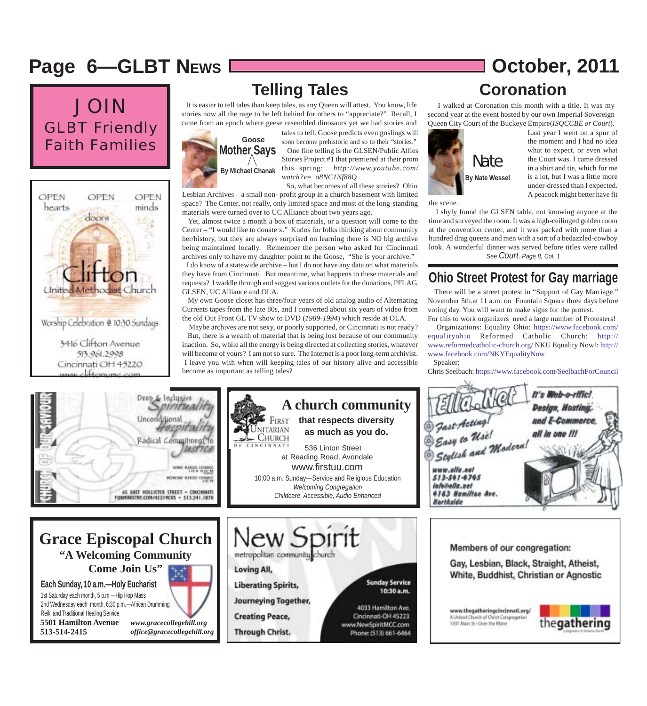### **Page 6––GLBT NEWS**  $\sqrt{2}$  **October, 2011**

### JOIN GLBT Friendly Faith Families



### **Telling Tales**

 It is easier to tell tales than keep tales, as any Queen will attest. You know, life stories now all the rage to be left behind for others to "appreciate?" Recall, I came from an epoch where geese resembled dinosaurs yet we had stories and



tales to tell. Goose predicts even goslings will soon become prehistoric and so to their "stories." One fine telling is the GLSEN/Public Allies Stories Project #1 that premiered at their prom this spring: *http://www.youtube.com/ watch?v=\_o8NC1Nf88Q*

Lesbian Archives – a small non- profit group in a church basement with limited space? The Center, not really, only limited space and most of the long-standing materials were turned over to UC Alliance about two years ago. So, what becomes of all these stories? Ohio

 Yet, almost twice a month a box of materials, or a question will come to the Center – "I would like to donate x." Kudos for folks thinking about community her/history, but they are always surprised on learning there is NO big archive being maintained locally. Remember the person who asked for Cincinnati archives only to have my daughter point to the Goose, "She is your archive." I do know of a statewide archive – but I do not have any data on what materials they have from Cincinnati. But meantime, what happens to these materials and requests? I waddle through and suggest various outlets for the donations, PFLAG, GLSEN, UC Alliance and OLA.

 My own Goose closet has three/four years of old analog audio of Alternating Currents tapes from the late 80s, and I converted about six years of video from the old Out Front GL TV show to DVD (*1989-1994*) which reside at OLA.

 Maybe archives are not sexy, or poorly supported, or Cincinnati is not ready? But, there is a wealth of material that is being lost because of our community inaction. So, while all the energy is being directed at collecting stories, whatever will become of yours? I am not so sure. The Internet is a poor long-term archivist. I leave you with when will keeping tales of our history alive and accessible become as important as telling tales?

# **Coronation**

 I walked at Coronation this month with a title. It was my second year at the event hosted by our own Imperial Sovereign Queen City Court of the Buckeye Empire(*ISQCCBE or Court*).



the scene.

Last year I went on a spur of the moment and I had no idea what to expect, or even what the Court was. I came dressed in a shirt and tie, which for me is a lot, but I was a little more under-dressed than I expected. A peacock might better have fit

 I shyly found the GLSEN table, not knowing anyone at the time and surveyed the room. It was a high-ceilinged golden room at the convention center, and it was packed with more than a hundred drag queens and men with a sort of a bedazzled-cowboy look. A wonderful dinner was served before titles were called *See Court, Page 8, Col. 1*

### **Ohio Street Protest for Gay marriage**

 There will be a street protest in "Support of Gay Marriage." November 5th.at 11 a.m. on Fountain Square three days before voting day. You will want to make signs for the protest. For this to work organizers need a large number of Protesters!

 Organizations: Equality Ohio: https://www.facebook.com/ equalityohio Reformed Catholic Church: http:// www.reformedcatholic-church.org/ NKU Equality Now!: http:// www.facebook.com/NKYEqualityNow Speaker:

Chris Seelbach: https://www.facebook.com/SeelbachForCouncil

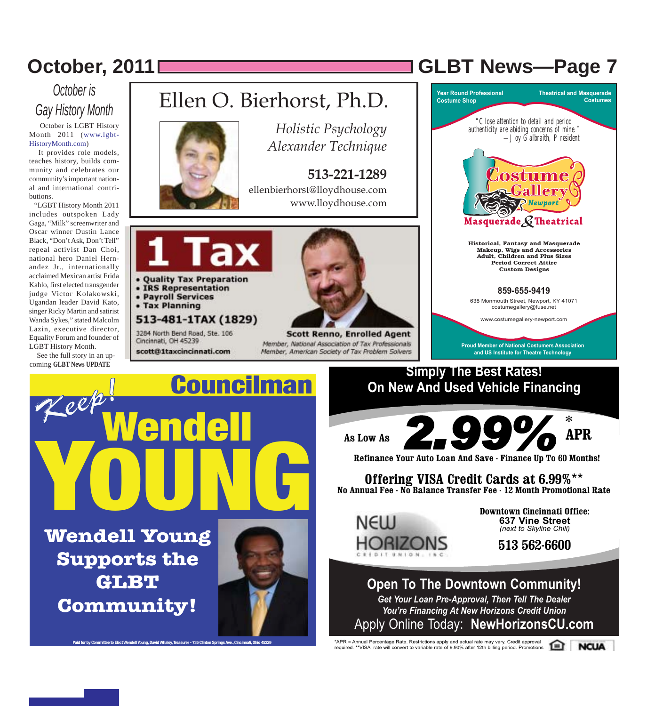### *October is Gay History Month*

 October is LGBT History Month 2011 (www.lgbt-HistoryMonth.com)

 It provides role models, teaches history, builds community and celebrates our community's important national and international contributions.

 "LGBT History Month 2011 includes outspoken Lady Gaga, "Milk" screenwriter and Oscar winner Dustin Lance Black, "Don't Ask, Don't Tell" repeal activist Dan Choi, national hero Daniel Hernandez Jr., internationally acclaimed Mexican artist Frida Kahlo, first elected transgender judge Victor Kolakowski, Ugandan leader David Kato, singer Ricky Martin and satirist Wanda Sykes," stated Malcolm Lazin, executive director, Equality Forum and founder of LGBT History Month.

 See the full story in an upcoming **GLBT News UPDATE**



Ellen O. Bierhorst, Ph.D.

*Holistic Psychology Alexander Technique*

**513-221-1289** ellenbierhorst@lloydhouse.com www.lloydhouse.com



- IRS Representation
- Payroll Services
- Tax Planning

#### 513-481-1TAX (1829)

3284 North Bend Road, Ste. 106 Cincinnati, OH 45239

scott@1taxcincinnati.com



Member, National Association of Tax Professionals Member, American Society of Tax Problem Solvers



**October, 2011 GLBT News***—***Page 7**



### **Simply The Best Rates! On New And Used Vehicle Financing**



**Refinance Your Auto Loan And Save - Finance Up To 60 Months!**

**Offering VISA Credit Cards at 6.99%**\*\* **No Annual Fee - No Balance Transfer Fee - 12 Month Promotional Rate** 



**Downtown Cincinnati Office: 637 Vine Street** *(next to Skyline Chili)*

**513 562-6600**

### **Open To The Downtown Community!**

*Get Your Loan Pre-Approval, Then Tell The Dealer You're Financing At New Horizons Credit Union* Apply Online Today: **NewHorizonsCU.com**

\*APR = Annual Percentage Rate. Restrictions apply and actual rate may vary. Credit approval required. \*\*VISA rate will convert to variable rate of 9.90% after 12th billing period. Promotions

**NCUA**